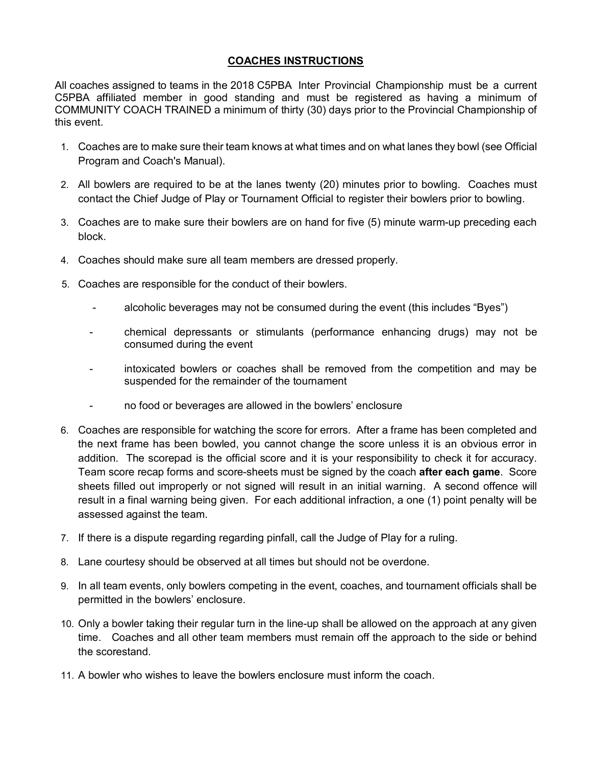## **COACHES INSTRUCTIONS**

All coaches assigned to teams in the 2018 C5PBA Inter Provincial Championship must be a current C5PBA affiliated member in good standing and must be registered as having a minimum of COMMUNITY COACH TRAINED a minimum of thirty (30) days prior to the Provincial Championship of this event.

- 1. Coaches are to make sure their team knows at what times and on what lanes they bowl (see Official Program and Coach's Manual).
- 2. All bowlers are required to be at the lanes twenty (20) minutes prior to bowling. Coaches must contact the Chief Judge of Play or Tournament Official to register their bowlers prior to bowling.
- 3. Coaches are to make sure their bowlers are on hand for five (5) minute warm-up preceding each block.
- 4. Coaches should make sure all team members are dressed properly.
- 5. Coaches are responsible for the conduct of their bowlers.
	- alcoholic beverages may not be consumed during the event (this includes "Byes")
	- chemical depressants or stimulants (performance enhancing drugs) may not be consumed during the event
	- intoxicated bowlers or coaches shall be removed from the competition and may be suspended for the remainder of the tournament
	- no food or beverages are allowed in the bowlers' enclosure
- 6. Coaches are responsible for watching the score for errors. After a frame has been completed and the next frame has been bowled, you cannot change the score unless it is an obvious error in addition. The scorepad is the official score and it is your responsibility to check it for accuracy. Team score recap forms and score-sheets must be signed by the coach **after each game**. Score sheets filled out improperly or not signed will result in an initial warning. A second offence will result in a final warning being given. For each additional infraction, a one (1) point penalty will be assessed against the team.
- 7. If there is a dispute regarding regarding pinfall, call the Judge of Play for a ruling.
- 8. Lane courtesy should be observed at all times but should not be overdone.
- 9. In all team events, only bowlers competing in the event, coaches, and tournament officials shall be permitted in the bowlers' enclosure.
- 10. Only a bowler taking their regular turn in the line-up shall be allowed on the approach at any given time. Coaches and all other team members must remain off the approach to the side or behind the scorestand.
- 11. A bowler who wishes to leave the bowlers enclosure must inform the coach.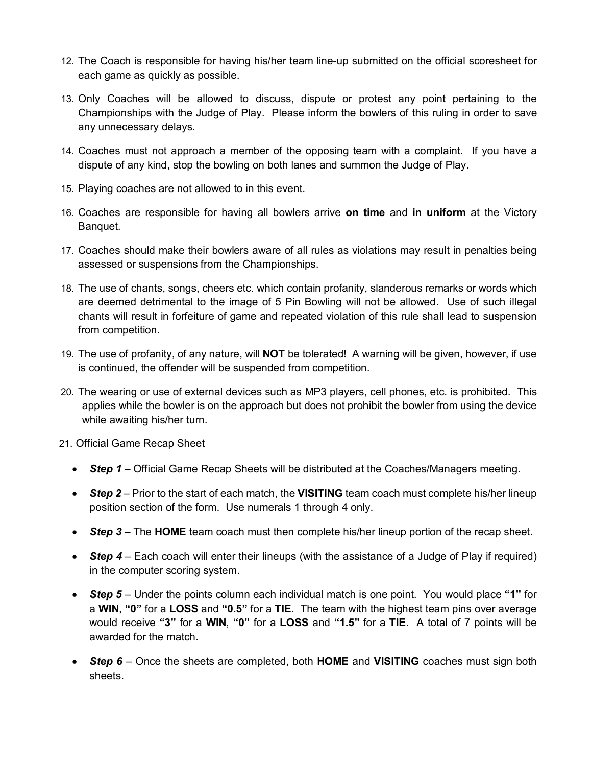- 12. The Coach is responsible for having his/her team line-up submitted on the official scoresheet for each game as quickly as possible.
- 13. Only Coaches will be allowed to discuss, dispute or protest any point pertaining to the Championships with the Judge of Play. Please inform the bowlers of this ruling in order to save any unnecessary delays.
- 14. Coaches must not approach a member of the opposing team with a complaint. If you have a dispute of any kind, stop the bowling on both lanes and summon the Judge of Play.
- 15. Playing coaches are not allowed to in this event.
- 16. Coaches are responsible for having all bowlers arrive **on time** and **in uniform** at the Victory Banquet.
- 17. Coaches should make their bowlers aware of all rules as violations may result in penalties being assessed or suspensions from the Championships.
- 18. The use of chants, songs, cheers etc. which contain profanity, slanderous remarks or words which are deemed detrimental to the image of 5 Pin Bowling will not be allowed. Use of such illegal chants will result in forfeiture of game and repeated violation of this rule shall lead to suspension from competition.
- 19. The use of profanity, of any nature, will **NOT** be tolerated! A warning will be given, however, if use is continued, the offender will be suspended from competition.
- 20. The wearing or use of external devices such as MP3 players, cell phones, etc. is prohibited. This applies while the bowler is on the approach but does not prohibit the bowler from using the device while awaiting his/her turn.

21. Official Game Recap Sheet

- *Step 1* Official Game Recap Sheets will be distributed at the Coaches/Managers meeting.
- *Step 2* Prior to the start of each match, the **VISITING** team coach must complete his/her lineup position section of the form. Use numerals 1 through 4 only.
- *Step 3* The **HOME** team coach must then complete his/her lineup portion of the recap sheet.
- **Step 4** Each coach will enter their lineups (with the assistance of a Judge of Play if required) in the computer scoring system.
- *Step 5* Under the points column each individual match is one point. You would place **"1"** for a **WIN**, **"0"** for a **LOSS** and **"0.5"** for a **TIE**. The team with the highest team pins over average would receive **"3"** for a **WIN**, **"0"** for a **LOSS** and **"1.5"** for a **TIE**. A total of 7 points will be awarded for the match.
- *Step 6* Once the sheets are completed, both **HOME** and **VISITING** coaches must sign both sheets.